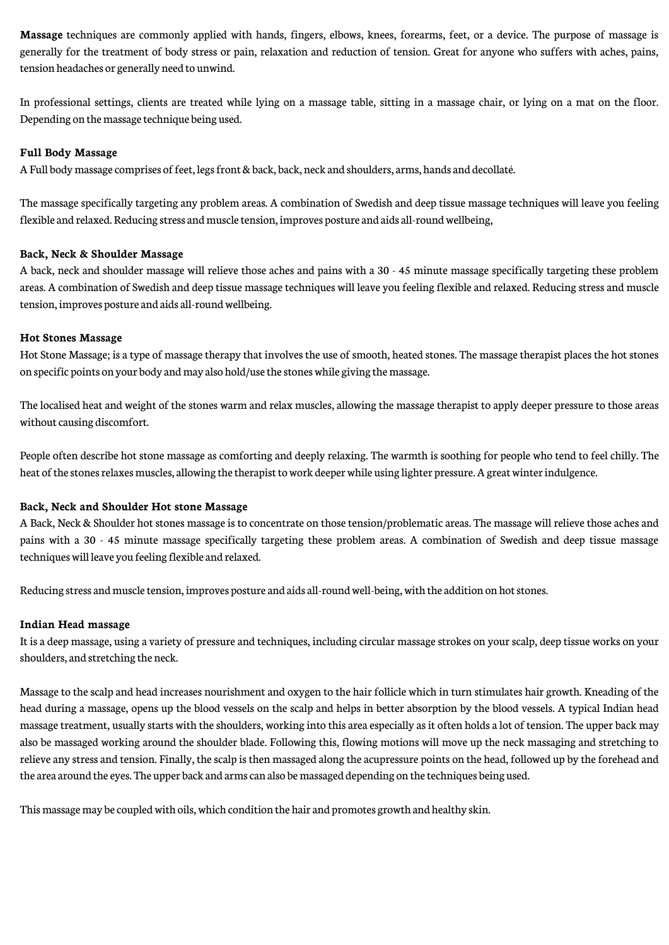**Massage** techniques are commonly applied with hands, fingers, elbows, knees, forearms, feet, or a device. The purpose of massage is generally for the treatment of body stress or pain, relaxation and reduction of tension. Great for anyone who suffers with aches, pains, tension headaches or generally need to unwind.

In professional settings, clients are treated while lying on a massage table, sitting in a massage chair, or lying on a mat on the floor. Depending on the massage technique being used.

#### **Full Body Massage**

A Full body massage comprises of feet, legs front & back, back, neck and shoulders, arms, hands and decollaté.

The massage specifically targeting any problem areas. A combination of Swedish and deep tissue massage techniques will leave you feeling flexible and relaxed. Reducing stress and muscle tension, improves posture and aids all-round wellbeing,

#### **Back, Neck & Shoulder Massage**

A back, neck and shoulder massage will relieve those aches and pains with a 30 - 45 minute massage specifically targeting these problem areas. A combination of Swedish and deep tissue massage techniques will leave you feeling flexible and relaxed. Reducing stress and muscle tension, improves posture and aids all-roundwellbeing.

#### **Hot Stones Massage**

Hot Stone Massage; is a type of massage therapy that involves the use of smooth, heated stones. The massage therapist places the hot stones on specific points on your body and may also hold/use the stones while giving the massage.

The localised heat and weight of the stones warm and relax muscles, allowing the massage therapist to apply deeper pressure to those areas without causing discomfort.

People often describe hot stone massage as comforting and deeply relaxing. The warmth is soothing for people who tend to feel chilly. The heat of the stones relaxes muscles, allowing the therapist to work deeper while using lighter pressure. A great winter indulgence.

#### **Back, Neck and Shoulder Hot stone Massage**

A Back, Neck & Shoulder hot stones massage is to concentrate on those tension/problematic areas. The massage will relieve those aches and pains with a 30 - 45 minute massage specifically targeting these problem areas. A combination of Swedish and deep tissue massage techniques will leave you feeling flexible and relaxed.

Reducing stress and muscle tension, improves posture and aids all-round well-being, with the addition on hot stones.

#### **Indian Head massage**

It is a deep massage, using a variety of pressure and techniques, including circular massagestrokes on your scalp, deep tissue works on your shoulders, and stretching the neck.

Massage to the scalp and head increases nourishment and oxygen to the hair follicle which in turn stimulates hair growth. Kneading of the head during a massage, opens up the blood vessels on the scalp and helps in better absorption by the blood vessels. A typical Indian head massage treatment, usually starts with the shoulders, working into this area especially as it often holds a lot of tension. The upper back may also be massaged working around the shoulder blade. Following this, flowing motions will move up the neck massaging and stretching to relieve any stress and tension. Finally, thescalp is then massaged along the acupressure points on the head, followed up by theforehead and the area around the eyes. The upper back and arms can also be massaged depending on the techniques being used.

This massage may be coupled with oils, which condition the hair and promotes growth and healthy skin.